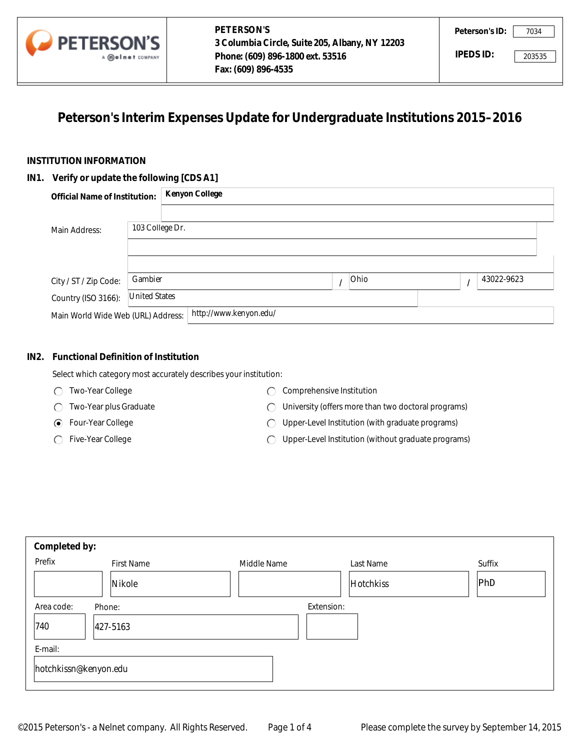

# **Peterson's Interim Expenses Update for Undergraduate Institutions 2015–2016**

#### **INSTITUTION INFORMATION**

#### **IN1. Verify or update the following [CDS A1]**

|                                           | A <b>Meinet</b> COMPANY | Phone: (609) 896-1800 ext. 53516<br>Fax: (609) 896-4535                     |      | IPEDS ID: |            | 203535 |
|-------------------------------------------|-------------------------|-----------------------------------------------------------------------------|------|-----------|------------|--------|
|                                           |                         | Peterson's Interim Expenses Update for Undergraduate Institutions 2015-2016 |      |           |            |        |
| <b>TITUTION INFORMATION</b>               |                         |                                                                             |      |           |            |        |
| . Verify or update the following [CDS A1] |                         |                                                                             |      |           |            |        |
| <b>Official Name of Institution:</b>      |                         | <b>Kenyon College</b>                                                       |      |           |            |        |
|                                           |                         |                                                                             |      |           |            |        |
| Main Address:                             | 103 College Dr.         |                                                                             |      |           |            |        |
|                                           |                         |                                                                             |      |           |            |        |
|                                           |                         |                                                                             |      |           |            |        |
| City / ST / Zip Code:                     | Gambier                 |                                                                             | Ohio | I         | 43022-9623 |        |
| Country (ISO 3166):                       | <b>United States</b>    |                                                                             |      |           |            |        |
| Main World Wide Web (URL) Address:        |                         | http://www.kenyon.edu/                                                      |      |           |            |        |

#### **IN2. Functional Definition of Institution**

- Two-Year College
- Two-Year plus Graduate
- Four-Year College
- ◯ Five-Year College
- C Comprehensive Institution
- University (offers more than two doctoral programs)
- Upper-Level Institution (with graduate programs)
- Upper-Level Institution (without graduate programs)  $\bigcap$

|         | Main Address:                               | 103 College Dr.      |                                                                   |                                |          |                                                     |   |            |
|---------|---------------------------------------------|----------------------|-------------------------------------------------------------------|--------------------------------|----------|-----------------------------------------------------|---|------------|
|         |                                             |                      |                                                                   |                                |          |                                                     |   |            |
|         | City / ST / Zip Code:                       | Gambier              |                                                                   |                                | $\prime$ | Ohio                                                | 1 | 43022-9623 |
|         | Country (ISO 3166):                         | <b>United States</b> |                                                                   |                                |          |                                                     |   |            |
|         | Main World Wide Web (URL) Address:          |                      | http://www.kenyon.edu/                                            |                                |          |                                                     |   |            |
|         |                                             |                      |                                                                   |                                |          |                                                     |   |            |
| IN2.    | <b>Functional Definition of Institution</b> |                      |                                                                   |                                |          |                                                     |   |            |
|         |                                             |                      | Select which category most accurately describes your institution: |                                |          |                                                     |   |            |
|         | Two-Year College<br>⊖                       |                      |                                                                   | Comprehensive Institution<br>◯ |          |                                                     |   |            |
|         | Two-Year plus Graduate                      |                      | ⊖                                                                 |                                |          | University (offers more than two doctoral programs) |   |            |
|         | Four-Year College<br>⊙                      |                      | ⊖                                                                 |                                |          | Upper-Level Institution (with graduate programs)    |   |            |
|         | Five-Year College                           |                      | $\subset$                                                         |                                |          | Upper-Level Institution (without graduate programs) |   |            |
|         |                                             |                      |                                                                   |                                |          |                                                     |   |            |
|         |                                             |                      |                                                                   |                                |          |                                                     |   |            |
|         |                                             |                      |                                                                   |                                |          |                                                     |   |            |
|         | Completed by:                               |                      |                                                                   |                                |          |                                                     |   |            |
| Prefix  |                                             | <b>First Name</b>    | Middle Name                                                       |                                |          | Last Name                                           |   | Suffix     |
|         | Nikole<br>▼                                 |                      |                                                                   |                                |          | Hotchkiss                                           |   | PhD        |
|         | Area code:<br>Phone:                        |                      |                                                                   | Extension:                     |          |                                                     |   |            |
| 740     | 427-5163                                    |                      |                                                                   |                                |          |                                                     |   |            |
| E-mail: |                                             |                      |                                                                   |                                |          |                                                     |   |            |
|         | hotchkissn@kenyon.edu                       |                      |                                                                   |                                |          |                                                     |   |            |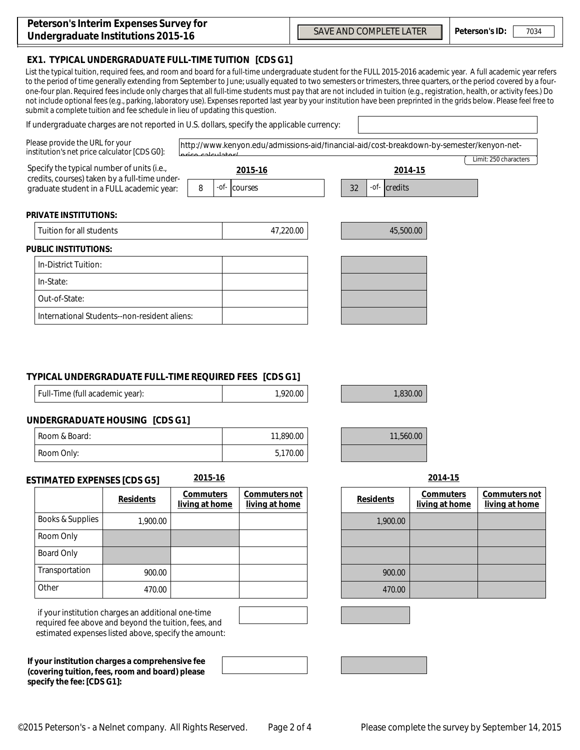| Peterson's Interim Expenses Survey for |  |
|----------------------------------------|--|
| Undergraduate Institutions 2015-16     |  |

## **EX1. TYPICAL UNDERGRADUATE FULL-TIME TUITION [CDS G1]**

List the typical tuition, required fees, and room and board for a full-time undergraduate student for the FULL 2015-2016 academic year. A full academic year refers to the period of time generally extending from September to June; usually equated to two semesters or trimesters, three quarters, or the period covered by a fourone-four plan. Required fees include only charges that all full-time students must pay that are not included in tuition (e.g., registration, health, or activity fees.) Do not include optional fees (e.g., parking, laboratory use). Expenses reported last year by your institution have been preprinted in the grids below. Please feel free to submit a complete tuition and fee schedule in lieu of updating this question.

### If undergraduate charges are not reported in U.S. dollars, specify the applicable currency:

| Please provide the URL for your<br>institution's net price calculator [CDS G0]:                                                          |                                              |                                    | http://www.kenyon.edu/admissions-aid/financial-aid/cost-breakdown-by-semester/kenyon-net- |                                              |                                    |                                |
|------------------------------------------------------------------------------------------------------------------------------------------|----------------------------------------------|------------------------------------|-------------------------------------------------------------------------------------------|----------------------------------------------|------------------------------------|--------------------------------|
| Specify the typical number of units (i.e.,<br>credits, courses) taken by a full-time under-<br>graduate student in a FULL academic year: |                                              | -of-<br>8                          | 2015-16<br>courses                                                                        | 2014-15<br>$-$ <i>of</i> - $ $ credits<br>32 |                                    | Limit: 250 characters          |
| <b>PRIVATE INSTITUTIONS:</b>                                                                                                             |                                              |                                    |                                                                                           |                                              |                                    |                                |
| Tuition for all students                                                                                                                 |                                              |                                    | 47,220.00                                                                                 | 45,500.00                                    |                                    |                                |
| <b>PUBLIC INSTITUTIONS:</b>                                                                                                              |                                              |                                    |                                                                                           |                                              |                                    |                                |
| In-District Tuition:                                                                                                                     |                                              |                                    |                                                                                           |                                              |                                    |                                |
| In-State:                                                                                                                                |                                              |                                    |                                                                                           |                                              |                                    |                                |
| Out-of-State:                                                                                                                            |                                              |                                    |                                                                                           |                                              |                                    |                                |
|                                                                                                                                          | International Students--non-resident aliens: |                                    |                                                                                           |                                              |                                    |                                |
| Full-Time (full academic year):<br><b>UNDERGRADUATE HOUSING [CDS G1]</b>                                                                 |                                              |                                    | 1,920.00                                                                                  | 1,830.00                                     |                                    |                                |
| Room & Board:                                                                                                                            |                                              |                                    | 11,890.00                                                                                 | 11,560.00                                    |                                    |                                |
| Room Only:                                                                                                                               |                                              |                                    | 5,170.00                                                                                  |                                              |                                    |                                |
| <b>ESTIMATED EXPENSES [CDS G5]</b>                                                                                                       |                                              | 2015-16                            |                                                                                           |                                              | 2014-15                            |                                |
|                                                                                                                                          | <b>Residents</b>                             | <b>Commuters</b><br>living at home | Commuters not<br>living at home                                                           | <b>Residents</b>                             | <b>Commuters</b><br>living at home | Commuters no<br>living at home |
| <b>Books &amp; Supplies</b>                                                                                                              | 1,900.00                                     |                                    |                                                                                           | 1,900.00                                     |                                    |                                |
| Room Only                                                                                                                                |                                              |                                    |                                                                                           |                                              |                                    |                                |
| <b>Board Only</b>                                                                                                                        |                                              |                                    |                                                                                           |                                              |                                    |                                |
| Transportation                                                                                                                           | 900.00                                       |                                    |                                                                                           | 900.00                                       |                                    |                                |
| Other                                                                                                                                    | 470.00                                       |                                    |                                                                                           | 470.00                                       |                                    |                                |

## **TYPICAL UNDERGRADUATE FULL-TIME REQUIRED FEES [CDS G1]**

| Full-Time (full academic year): | 1,920.00 |
|---------------------------------|----------|
|                                 |          |

### **UNDERGRADUATE HOUSING [CDS G1]**

| I Room & Board:    | 11,890.00 |
|--------------------|-----------|
| Room <i>Only</i> : | 5,170.00  |

#### **ESTIMATED EXPENSES [CDS G5] 2015-16 2014-15**

|                   | <b>Residents</b> | <b>Commuters</b><br>living at home | Commuters not<br>living at home | <b>Residents</b> | <b>Commuters</b><br>living at hom |
|-------------------|------------------|------------------------------------|---------------------------------|------------------|-----------------------------------|
| Books & Supplies  | 1,900.00         |                                    |                                 | 1,900.00         |                                   |
| Room Only         |                  |                                    |                                 |                  |                                   |
| <b>Board Only</b> |                  |                                    |                                 |                  |                                   |
| Transportation    | 900.00           |                                    |                                 | 900.00           |                                   |
| Other             | 470.00           |                                    |                                 | 470.00           |                                   |

 if your institution charges an additional one-time required fee above and beyond the tuition, fees, and estimated expenses listed above, specify the amount:

**If your institution charges a comprehensive fee (covering tuition, fees, room and board) please specify the fee: [CDS G1]:**

| <b>Commuters</b>      | <b>Commuters not</b> |
|-----------------------|----------------------|
| <u>living at home</u> | living at home       |
|                       |                      |

| 1,900.00 |  |
|----------|--|
|          |  |
|          |  |
| 900.00   |  |
| 470.00   |  |

**Peterson's ID:** SAVE AND COMPLETE LATER | Peterson's ID: 7034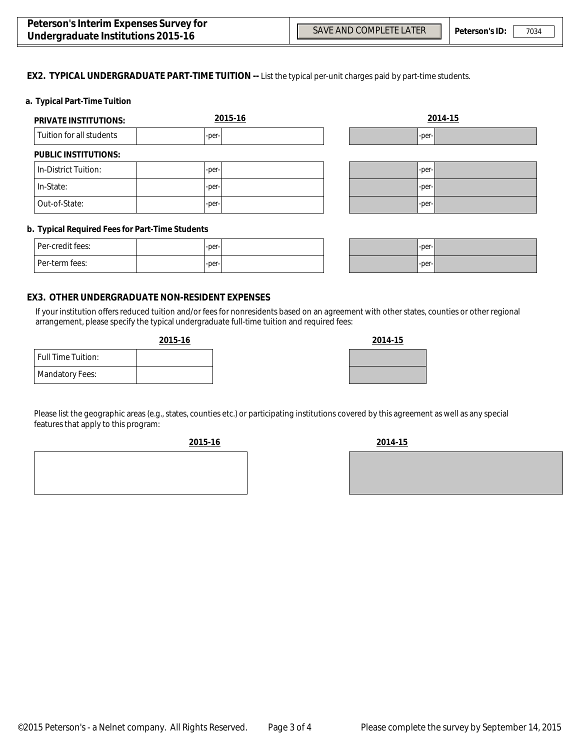$\left| \mathbf{v} \right|$ 

 $\overline{\phantom{0}}$ 

#### **EX2. TYPICAL UNDERGRADUATE PART-TIME TUITION --** List the typical per-unit charges paid by part-time students.

#### **a. Typical Part-Time Tuition**

| <b>PRIVATE INSTITUTIONS:</b> | 2015-16 |       | 2014-15 |
|------------------------------|---------|-------|---------|
| Tuition for all students     | -per-   | -per- |         |
| <b>PUBLIC INSTITUTIONS:</b>  |         |       |         |
| In-District Tuition:         | -per-   | -per- |         |
| In-State:                    | -per-   | -per- |         |
| Out-of-State:                | -per-   | -per- |         |

#### **b. Typical Required Fees for Part-Time Students**

| Per-credit fees: | $-per-$ |  |
|------------------|---------|--|
| l Per-term fees: | $-per-$ |  |

| $-per-$ |  |
|---------|--|
| $-per-$ |  |

#### **EX3. OTHER UNDERGRADUATE NON-RESIDENT EXPENSES**

If your institution offers reduced tuition and/or fees for nonresidents based on an agreement with other states, counties or other regional arrangement, please specify the typical undergraduate full-time tuition and required fees:

#### **2015-16 2014-15**

| 2014-15 |
|---------|
|         |
|         |

Mandatory Fees: Full Time Tuition:

Please list the geographic areas (e.g., states, counties etc.) or participating institutions covered by this agreement as well as any special features that apply to this program:

**2015-16 2014-15**